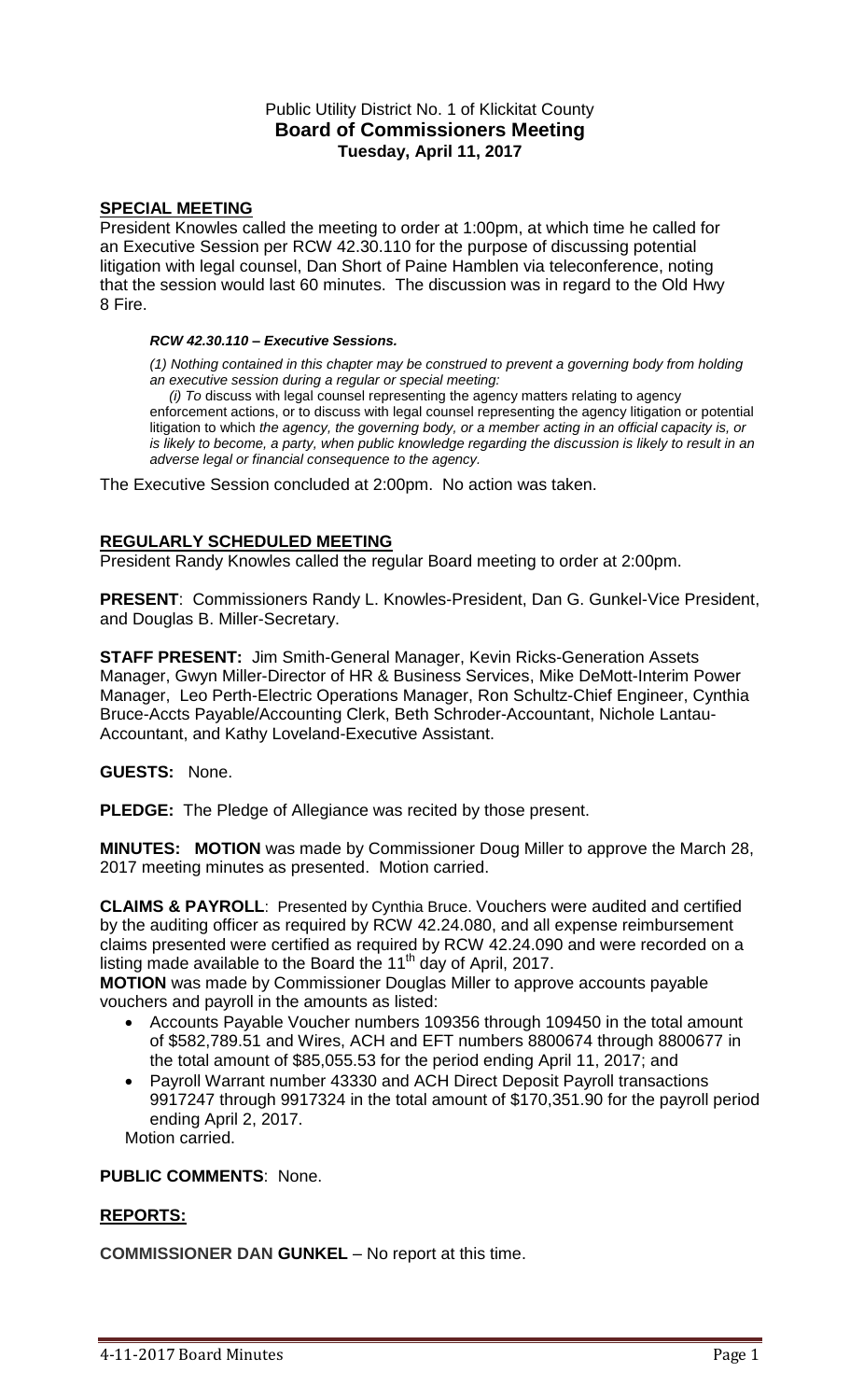# Public Utility District No. 1 of Klickitat County **Board of Commissioners Meeting Tuesday, April 11, 2017**

### **SPECIAL MEETING**

President Knowles called the meeting to order at 1:00pm, at which time he called for an Executive Session per RCW 42.30.110 for the purpose of discussing potential litigation with legal counsel, Dan Short of Paine Hamblen via teleconference, noting that the session would last 60 minutes. The discussion was in regard to the Old Hwy 8 Fire.

#### *RCW 42.30.110 – Executive Sessions.*

*(1) Nothing contained in this chapter may be construed to prevent a governing body from holding an executive session during a regular or special meeting:*

 *(i) To* discuss with legal counsel representing the agency matters relating to agency enforcement actions, or to discuss with legal counsel representing the agency litigation or potential litigation to which *the agency, the governing body, or a member acting in an official capacity is, or is likely to become, a party, when public knowledge regarding the discussion is likely to result in an adverse legal or financial consequence to the agency.*

The Executive Session concluded at 2:00pm. No action was taken.

### **REGULARLY SCHEDULED MEETING**

President Randy Knowles called the regular Board meeting to order at 2:00pm.

**PRESENT**: Commissioners Randy L. Knowles-President, Dan G. Gunkel-Vice President, and Douglas B. Miller-Secretary.

**STAFF PRESENT:** Jim Smith-General Manager, Kevin Ricks-Generation Assets Manager, Gwyn Miller-Director of HR & Business Services, Mike DeMott-Interim Power Manager, Leo Perth-Electric Operations Manager, Ron Schultz-Chief Engineer, Cynthia Bruce-Accts Payable/Accounting Clerk, Beth Schroder-Accountant, Nichole Lantau-Accountant, and Kathy Loveland-Executive Assistant.

**GUESTS:** None.

**PLEDGE:** The Pledge of Allegiance was recited by those present.

**MINUTES: MOTION** was made by Commissioner Doug Miller to approve the March 28, 2017 meeting minutes as presented. Motion carried.

**CLAIMS & PAYROLL**: Presented by Cynthia Bruce. Vouchers were audited and certified by the auditing officer as required by RCW 42.24.080, and all expense reimbursement claims presented were certified as required by RCW 42.24.090 and were recorded on a listing made available to the Board the  $11<sup>th</sup>$  day of April, 2017.

**MOTION** was made by Commissioner Douglas Miller to approve accounts payable vouchers and payroll in the amounts as listed:

- Accounts Payable Voucher numbers 109356 through 109450 in the total amount of \$582,789.51 and Wires, ACH and EFT numbers 8800674 through 8800677 in the total amount of \$85,055.53 for the period ending April 11, 2017; and
- Payroll Warrant number 43330 and ACH Direct Deposit Payroll transactions 9917247 through 9917324 in the total amount of \$170,351.90 for the payroll period ending April 2, 2017. Motion carried.

**PUBLIC COMMENTS**: None.

### **REPORTS:**

**COMMISSIONER DAN GUNKEL** – No report at this time.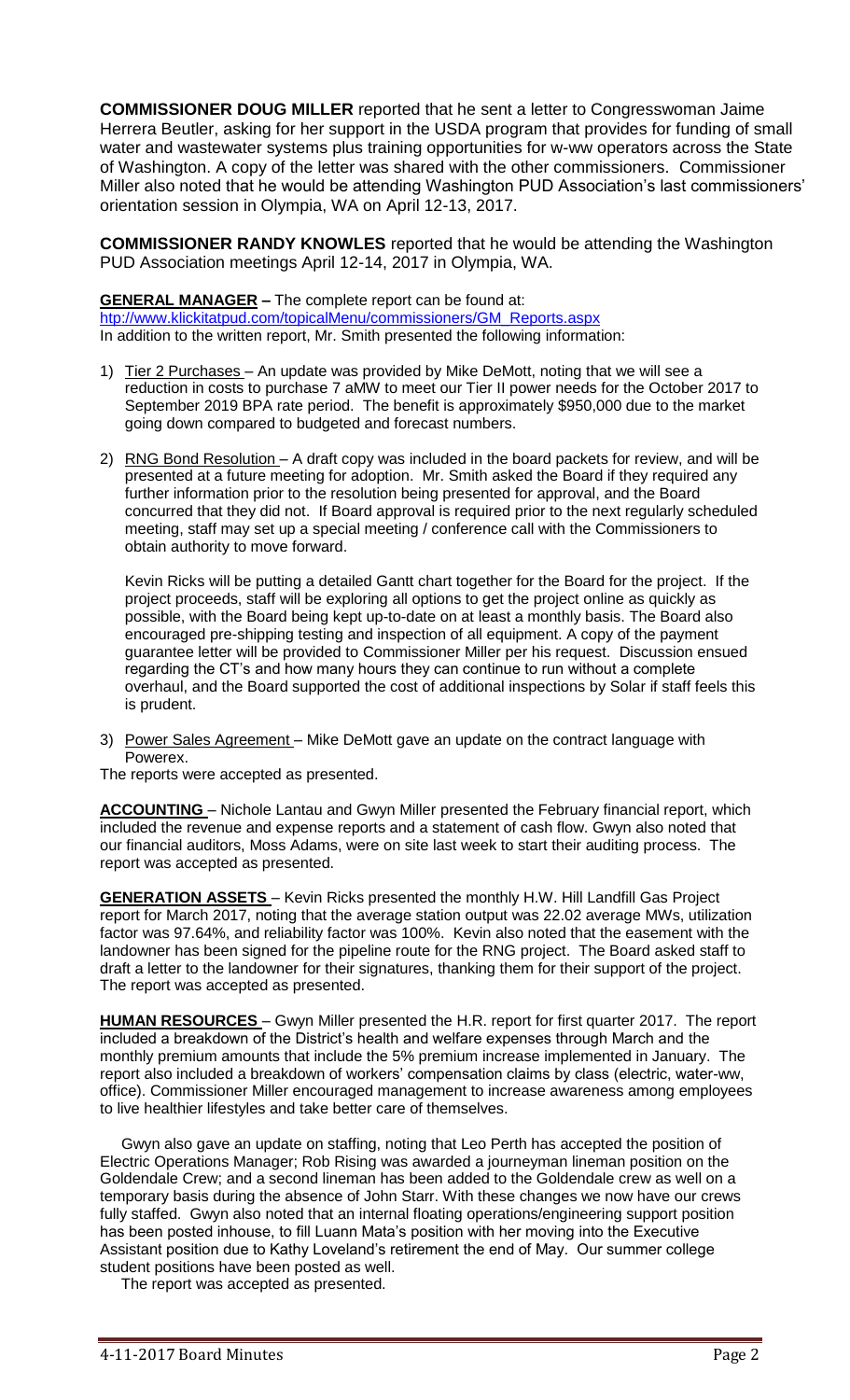**COMMISSIONER DOUG MILLER** reported that he sent a letter to Congresswoman Jaime Herrera Beutler, asking for her support in the USDA program that provides for funding of small water and wastewater systems plus training opportunities for w-ww operators across the State of Washington. A copy of the letter was shared with the other commissioners. Commissioner Miller also noted that he would be attending Washington PUD Association's last commissioners' orientation session in Olympia, WA on April 12-13, 2017.

**COMMISSIONER RANDY KNOWLES** reported that he would be attending the Washington PUD Association meetings April 12-14, 2017 in Olympia, WA.

**GENERAL MANAGER –** The complete report can be found at:

[htp://www.klickitatpud.com/topicalMenu/commissioners/GM\\_Reports.aspx](http://www.klickitatpud.com/topicalMenu/commissioners/GM_Reports.aspx) In addition to the written report, Mr. Smith presented the following information:

- 1) Tier 2 Purchases An update was provided by Mike DeMott, noting that we will see a reduction in costs to purchase 7 aMW to meet our Tier II power needs for the October 2017 to September 2019 BPA rate period. The benefit is approximately \$950,000 due to the market going down compared to budgeted and forecast numbers.
- 2) RNG Bond Resolution A draft copy was included in the board packets for review, and will be presented at a future meeting for adoption. Mr. Smith asked the Board if they required any further information prior to the resolution being presented for approval, and the Board concurred that they did not. If Board approval is required prior to the next regularly scheduled meeting, staff may set up a special meeting / conference call with the Commissioners to obtain authority to move forward.

Kevin Ricks will be putting a detailed Gantt chart together for the Board for the project. If the project proceeds, staff will be exploring all options to get the project online as quickly as possible, with the Board being kept up-to-date on at least a monthly basis. The Board also encouraged pre-shipping testing and inspection of all equipment. A copy of the payment guarantee letter will be provided to Commissioner Miller per his request. Discussion ensued regarding the CT's and how many hours they can continue to run without a complete overhaul, and the Board supported the cost of additional inspections by Solar if staff feels this is prudent.

3) Power Sales Agreement - Mike DeMott gave an update on the contract language with Powerex.

The reports were accepted as presented.

**ACCOUNTING** – Nichole Lantau and Gwyn Miller presented the February financial report, which included the revenue and expense reports and a statement of cash flow. Gwyn also noted that our financial auditors, Moss Adams, were on site last week to start their auditing process. The report was accepted as presented.

**GENERATION ASSETS** – Kevin Ricks presented the monthly H.W. Hill Landfill Gas Project report for March 2017, noting that the average station output was 22.02 average MWs, utilization factor was 97.64%, and reliability factor was 100%. Kevin also noted that the easement with the landowner has been signed for the pipeline route for the RNG project. The Board asked staff to draft a letter to the landowner for their signatures, thanking them for their support of the project. The report was accepted as presented.

**HUMAN RESOURCES** – Gwyn Miller presented the H.R. report for first quarter 2017. The report included a breakdown of the District's health and welfare expenses through March and the monthly premium amounts that include the 5% premium increase implemented in January. The report also included a breakdown of workers' compensation claims by class (electric, water-ww, office). Commissioner Miller encouraged management to increase awareness among employees to live healthier lifestyles and take better care of themselves.

 Gwyn also gave an update on staffing, noting that Leo Perth has accepted the position of Electric Operations Manager; Rob Rising was awarded a journeyman lineman position on the Goldendale Crew; and a second lineman has been added to the Goldendale crew as well on a temporary basis during the absence of John Starr. With these changes we now have our crews fully staffed. Gwyn also noted that an internal floating operations/engineering support position has been posted inhouse, to fill Luann Mata's position with her moving into the Executive Assistant position due to Kathy Loveland's retirement the end of May. Our summer college student positions have been posted as well.

The report was accepted as presented.